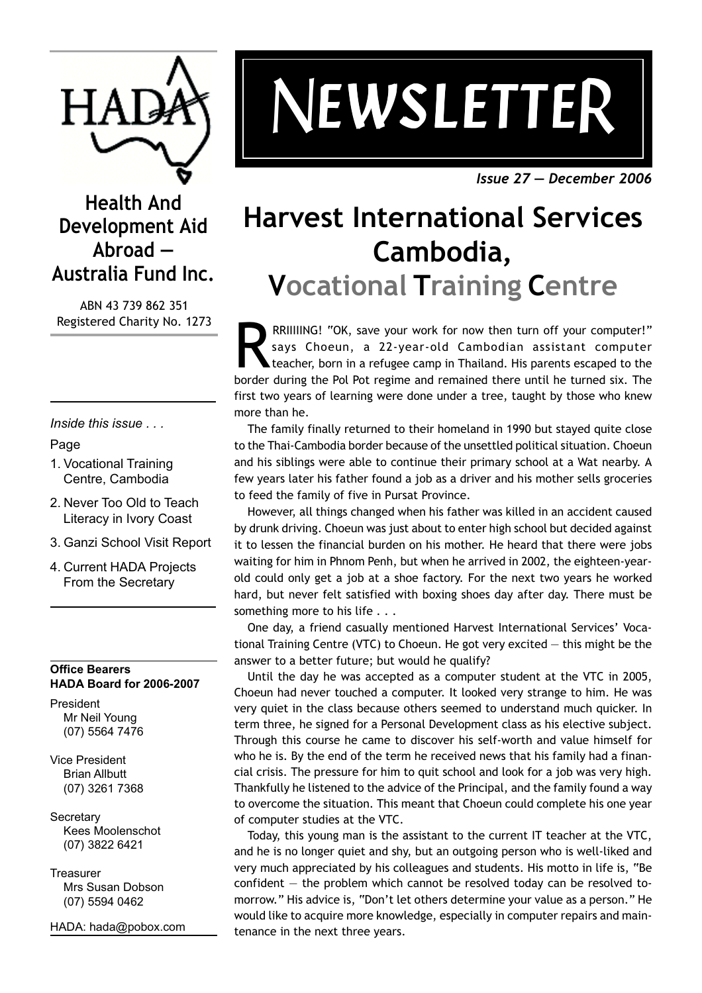

# *NEWSLETTE EWSLETTE EWSLETTE EWSLETTER*

*Issue 27 — December 2006*

## **Health And Development Aid Abroad — Australia Fund Inc.**

ABN 43 739 862 351 Registered Charity No. 1273

*Inside this issue . . .*

#### Page

- 1. Vocational Training Centre, Cambodia
- 2. Never Too Old to Teach Literacy in Ivory Coast
- 3. Ganzi School Visit Report
- 4. Current HADA Projects From the Secretary

#### **Office Bearers HADA Board for 2006-2007**

President Mr Neil Young (07) 5564 7476

Vice President Brian Allbutt (07) 3261 7368

**Secretary** Kees Moolenschot (07) 3822 6421

**Treasurer** Mrs Susan Dobson (07) 5594 0462

HADA: hada@pobox.com

## **Harvest International Services Cambodia, Vocational Training Centre**

RRIIIIING! "OK, save your work for now then turn off your computer!"<br>says Choeun, a 22-year-old Cambodian assistant computer<br>teacher, born in a refugee camp in Thailand. His parents escaped to the<br>border during the Pol Pot says Choeun, a 22-year-old Cambodian assistant computer teacher, born in a refugee camp in Thailand. His parents escaped to the border during the Pol Pot regime and remained there until he turned six. The first two years of learning were done under a tree, taught by those who knew more than he.

The family finally returned to their homeland in 1990 but stayed quite close to the Thai-Cambodia border because of the unsettled political situation. Choeun and his siblings were able to continue their primary school at a Wat nearby. A few years later his father found a job as a driver and his mother sells groceries to feed the family of five in Pursat Province.

However, all things changed when his father was killed in an accident caused by drunk driving. Choeun was just about to enter high school but decided against it to lessen the financial burden on his mother. He heard that there were jobs waiting for him in Phnom Penh, but when he arrived in 2002, the eighteen-yearold could only get a job at a shoe factory. For the next two years he worked hard, but never felt satisfied with boxing shoes day after day. There must be something more to his life . . .

One day, a friend casually mentioned Harvest International Services' Vocational Training Centre (VTC) to Choeun. He got very excited — this might be the answer to a better future; but would he qualify?

Until the day he was accepted as a computer student at the VTC in 2005, Choeun had never touched a computer. It looked very strange to him. He was very quiet in the class because others seemed to understand much quicker. In term three, he signed for a Personal Development class as his elective subject. Through this course he came to discover his self-worth and value himself for who he is. By the end of the term he received news that his family had a financial crisis. The pressure for him to quit school and look for a job was very high. Thankfully he listened to the advice of the Principal, and the family found a way to overcome the situation. This meant that Choeun could complete his one year of computer studies at the VTC.

Today, this young man is the assistant to the current IT teacher at the VTC, and he is no longer quiet and shy, but an outgoing person who is well-liked and very much appreciated by his colleagues and students. His motto in life is, "Be confident — the problem which cannot be resolved today can be resolved tomorrow." His advice is, "Don't let others determine your value as a person." He would like to acquire more knowledge, especially in computer repairs and maintenance in the next three years.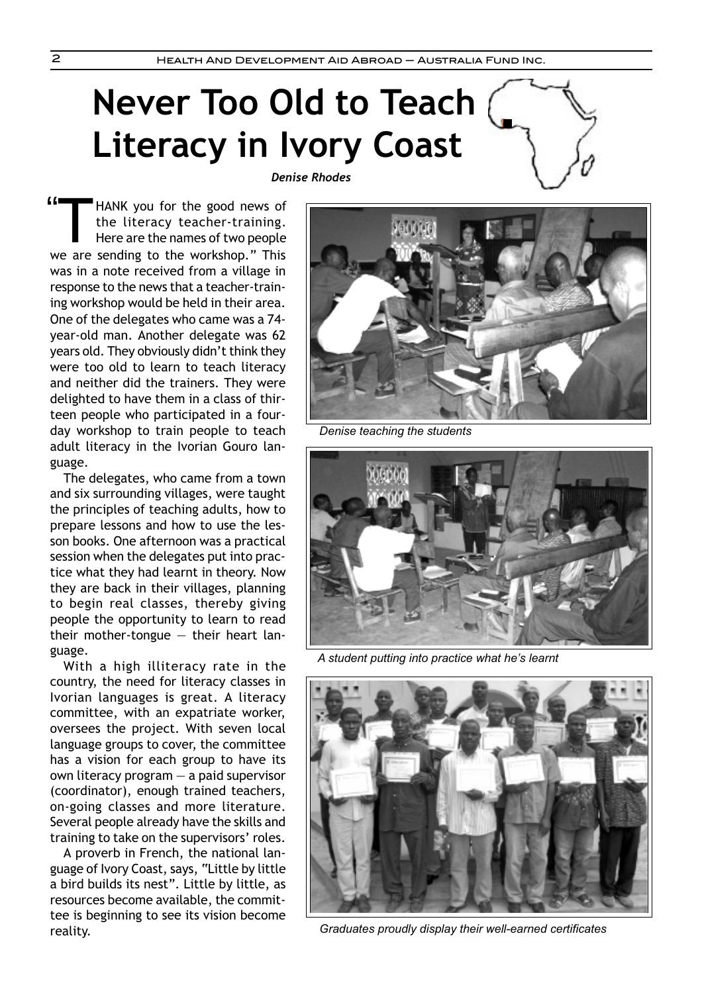# **Never Too Old to Teach Literacy in Ivory Coast**

*Denise Rhodes*



The delegates, who came from a town and six surrounding villages, were taught the principles of teaching adults, how to prepare lessons and how to use the lesson books. One afternoon was a practical session when the delegates put into practice what they had learnt in theory. Now they are back in their villages, planning to begin real classes, thereby giving people the opportunity to learn to read their mother-tongue  $-$  their heart language.

With a high illiteracy rate in the country, the need for literacy classes in Ivorian languages is great. A literacy committee, with an expatriate worker, oversees the project. With seven local language groups to cover, the committee has a vision for each group to have its own literacy program — a paid supervisor (coordinator), enough trained teachers, on-going classes and more literature. Several people already have the skills and training to take on the supervisors' roles.

A proverb in French, the national language of Ivory Coast, says, "Little by little a bird builds its nest". Little by little, as resources become available, the committee is beginning to see its vision become reality.



*Denise teaching the students*



*A student putting into practice what he's learnt*



*Graduates proudly display their well-earned certificates*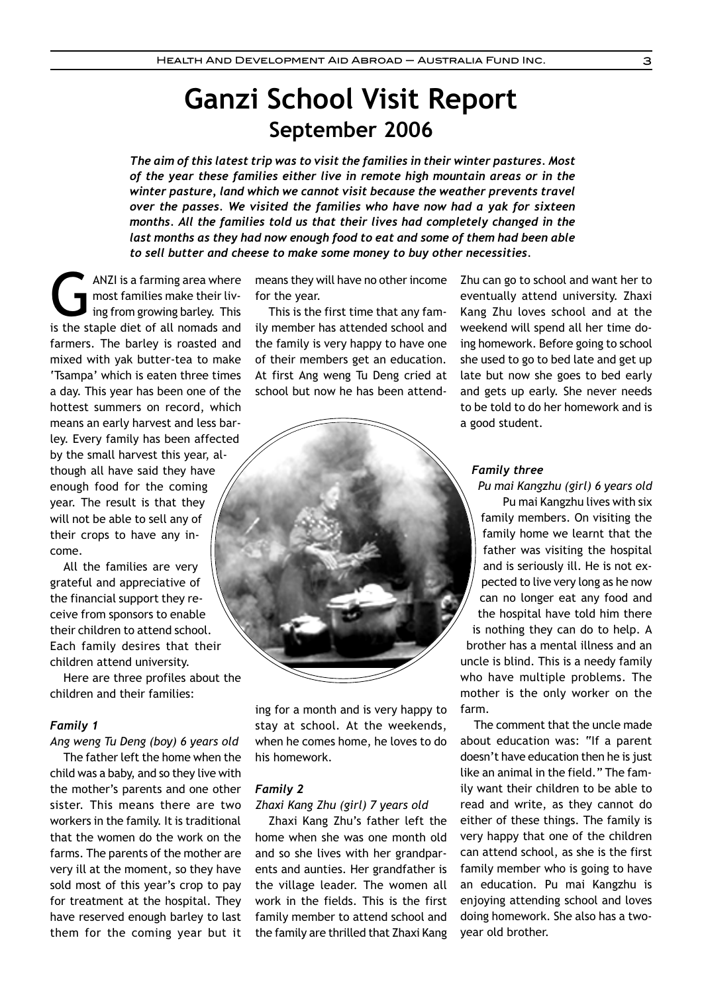## **Ganzi School Visit Report September 2006**

*The aim of this latest trip was to visit the families in their winter pastures. Most of the year these families either live in remote high mountain areas or in the winter pasture, land which we cannot visit because the weather prevents travel over the passes. We visited the families who have now had a yak for sixteen months. All the families told us that their lives had completely changed in the last months as they had now enough food to eat and some of them had been able to sell butter and cheese to make some money to buy other necessities.*

ANZI is a farming area where<br>most families make their living from growing barley. This<br>is the staple diet of all pomads and most families make their living from growing barley. This is the staple diet of all nomads and farmers. The barley is roasted and mixed with yak butter-tea to make 'Tsampa' which is eaten three times a day. This year has been one of the hottest summers on record, which means an early harvest and less barley. Every family has been affected by the small harvest this year, although all have said they have enough food for the coming year. The result is that they will not be able to sell any of their crops to have any income.

All the families are very grateful and appreciative of the financial support they receive from sponsors to enable their children to attend school. Each family desires that their children attend university.

Here are three profiles about the children and their families:

#### *Family 1*

*Ang weng Tu Deng (boy) 6 years old* The father left the home when the child was a baby, and so they live with the mother's parents and one other sister. This means there are two workers in the family. It is traditional that the women do the work on the farms. The parents of the mother are very ill at the moment, so they have sold most of this year's crop to pay for treatment at the hospital. They have reserved enough barley to last them for the coming year but it means they will have no other income for the year.

This is the first time that any family member has attended school and the family is very happy to have one of their members get an education. At first Ang weng Tu Deng cried at school but now he has been attend-



a good student.

*Pu mai Kangzhu (girl) 6 years old* Pu mai Kangzhu lives with six family members. On visiting the family home we learnt that the father was visiting the hospital and is seriously ill. He is not expected to live very long as he now can no longer eat any food and the hospital have told him there is nothing they can do to help. A brother has a mental illness and an uncle is blind. This is a needy family who have multiple problems. The mother is the only worker on the farm.

Zhu can go to school and want her to eventually attend university. Zhaxi Kang Zhu loves school and at the weekend will spend all her time doing homework. Before going to school she used to go to bed late and get up late but now she goes to bed early and gets up early. She never needs to be told to do her homework and is

The comment that the uncle made about education was: "If a parent doesn't have education then he is just like an animal in the field." The family want their children to be able to read and write, as they cannot do either of these things. The family is very happy that one of the children can attend school, as she is the first family member who is going to have an education. Pu mai Kangzhu is enjoying attending school and loves doing homework. She also has a twoyear old brother.

ing for a month and is very happy to stay at school. At the weekends, when he comes home, he loves to do his homework.

#### *Family 2*

*Zhaxi Kang Zhu (girl) 7 years old*

Zhaxi Kang Zhu's father left the home when she was one month old and so she lives with her grandparents and aunties. Her grandfather is the village leader. The women all work in the fields. This is the first family member to attend school and the family are thrilled that Zhaxi Kang